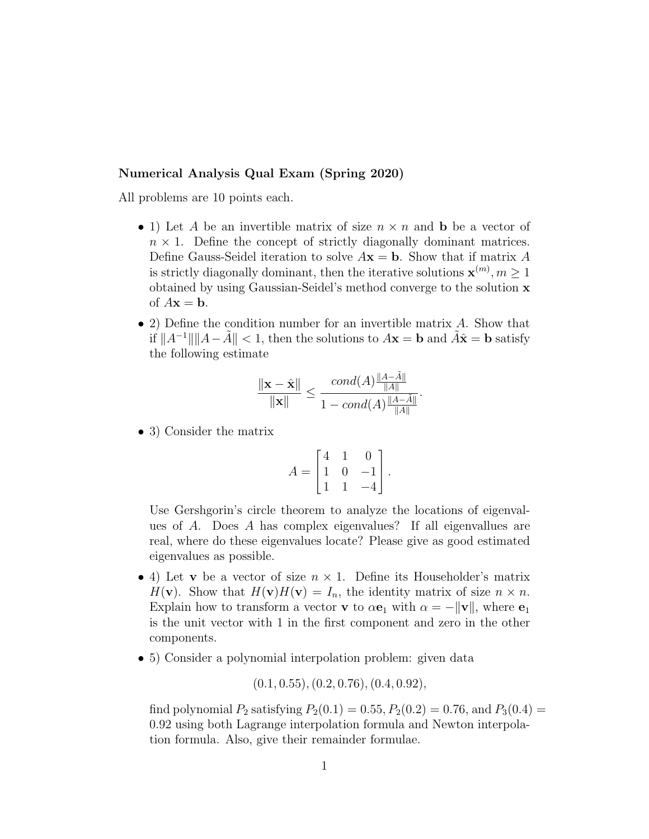## Numerical Analysis Qual Exam (Spring 2020)

All problems are 10 points each.

- 1) Let A be an invertible matrix of size  $n \times n$  and **b** be a vector of  $n \times 1$ . Define the concept of strictly diagonally dominant matrices. Define Gauss-Seidel iteration to solve  $A\mathbf{x} = \mathbf{b}$ . Show that if matrix A is strictly diagonally dominant, then the iterative solutions  $\mathbf{x}^{(m)}$ ,  $m \geq 1$ obtained by using Gaussian-Seidel's method converge to the solution x of  $A\mathbf{x} = \mathbf{b}$ .
- 2) Define the condition number for an invertible matrix A. Show that if  $||A^{-1}|| ||A - A|| < 1$ , then the solutions to  $A$ **x** = **b** and  $A\hat{\textbf{x}}$  = **b** satisfy the following estimate

$$
\frac{\|\mathbf{x}-\hat{\mathbf{x}}\|}{\|\mathbf{x}\|}\leq \frac{cond(A)\frac{\|A-\tilde{A}\|}{\|A\|}}{1-cond(A)\frac{\|A-\tilde{A}\|}{\|A\|}}.
$$

• 3) Consider the matrix

$$
A = \begin{bmatrix} 4 & 1 & 0 \\ 1 & 0 & -1 \\ 1 & 1 & -4 \end{bmatrix}.
$$

Use Gershgorin's circle theorem to analyze the locations of eigenvalues of A. Does A has complex eigenvalues? If all eigenvallues are real, where do these eigenvalues locate? Please give as good estimated eigenvalues as possible.

- 4) Let **v** be a vector of size  $n \times 1$ . Define its Householder's matrix  $H(\mathbf{v})$ . Show that  $H(\mathbf{v})H(\mathbf{v})=I_n$ , the identity matrix of size  $n \times n$ . Explain how to transform a vector **v** to  $\alpha \mathbf{e}_1$  with  $\alpha = -\|\mathbf{v}\|$ , where  $\mathbf{e}_1$ is the unit vector with 1 in the first component and zero in the other components.
- 5) Consider a polynomial interpolation problem: given data

$$
(0.1, 0.55), (0.2, 0.76), (0.4, 0.92),
$$

find polynomial  $P_2$  satisfying  $P_2(0.1) = 0.55, P_2(0.2) = 0.76$ , and  $P_3(0.4) =$ 0.92 using both Lagrange interpolation formula and Newton interpolation formula. Also, give their remainder formulae.